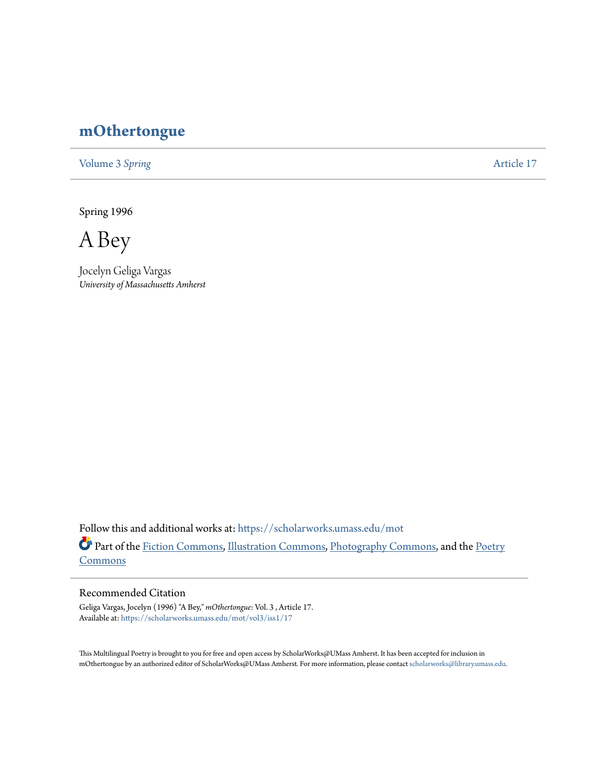## **[mOthertongue](https://scholarworks.umass.edu/mot?utm_source=scholarworks.umass.edu%2Fmot%2Fvol3%2Fiss1%2F17&utm_medium=PDF&utm_campaign=PDFCoverPages)**

[Volume 3](https://scholarworks.umass.edu/mot/vol3?utm_source=scholarworks.umass.edu%2Fmot%2Fvol3%2Fiss1%2F17&utm_medium=PDF&utm_campaign=PDFCoverPages) Spring **[Article 17](https://scholarworks.umass.edu/mot/vol3/iss1/17?utm_source=scholarworks.umass.edu%2Fmot%2Fvol3%2Fiss1%2F17&utm_medium=PDF&utm_campaign=PDFCoverPages)** 

Spring 1996

A Bey

Jocelyn Geliga Vargas *University of Massachusetts Amherst*

Follow this and additional works at: [https://scholarworks.umass.edu/mot](https://scholarworks.umass.edu/mot?utm_source=scholarworks.umass.edu%2Fmot%2Fvol3%2Fiss1%2F17&utm_medium=PDF&utm_campaign=PDFCoverPages) Part of the [Fiction Commons](http://network.bepress.com/hgg/discipline/1151?utm_source=scholarworks.umass.edu%2Fmot%2Fvol3%2Fiss1%2F17&utm_medium=PDF&utm_campaign=PDFCoverPages), [Illustration Commons,](http://network.bepress.com/hgg/discipline/1135?utm_source=scholarworks.umass.edu%2Fmot%2Fvol3%2Fiss1%2F17&utm_medium=PDF&utm_campaign=PDFCoverPages) [Photography Commons,](http://network.bepress.com/hgg/discipline/1142?utm_source=scholarworks.umass.edu%2Fmot%2Fvol3%2Fiss1%2F17&utm_medium=PDF&utm_campaign=PDFCoverPages) and the [Poetry](http://network.bepress.com/hgg/discipline/1153?utm_source=scholarworks.umass.edu%2Fmot%2Fvol3%2Fiss1%2F17&utm_medium=PDF&utm_campaign=PDFCoverPages) **[Commons](http://network.bepress.com/hgg/discipline/1153?utm_source=scholarworks.umass.edu%2Fmot%2Fvol3%2Fiss1%2F17&utm_medium=PDF&utm_campaign=PDFCoverPages)** 

## Recommended Citation

Geliga Vargas, Jocelyn (1996) "A Bey," *mOthertongue*: Vol. 3 , Article 17. Available at: [https://scholarworks.umass.edu/mot/vol3/iss1/17](https://scholarworks.umass.edu/mot/vol3/iss1/17?utm_source=scholarworks.umass.edu%2Fmot%2Fvol3%2Fiss1%2F17&utm_medium=PDF&utm_campaign=PDFCoverPages)

This Multilingual Poetry is brought to you for free and open access by ScholarWorks@UMass Amherst. It has been accepted for inclusion in mOthertongue by an authorized editor of ScholarWorks@UMass Amherst. For more information, please contact [scholarworks@library.umass.edu](mailto:scholarworks@library.umass.edu).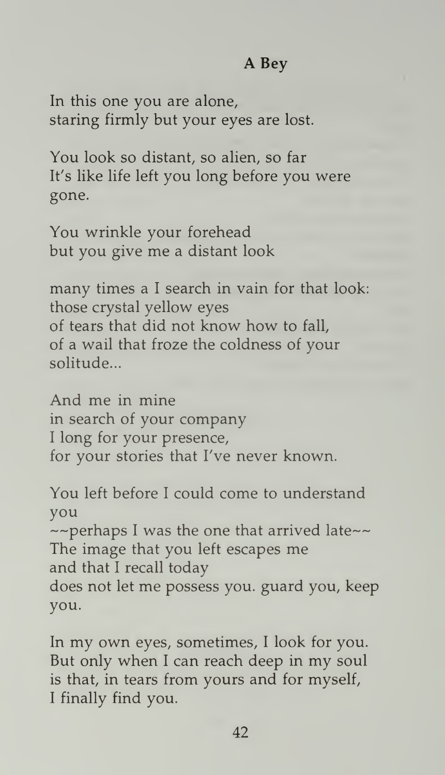## A Bey

In this one you are alone, staring firmly but your eyes are lost.

You look so distant, so alien, so far It's like life left you long before you were gone.

You wrinkle your forehead but you give me <sup>a</sup> distant look

many times <sup>a</sup> <sup>I</sup> search in vain for that look: those crystal yellow eyes of tears that did not know how to fall, of a wail that froze the coldness of your solitude...

And me in mine in search of your company <sup>I</sup> long for your presence, for your stories that I've never known.

You left before <sup>I</sup> could come to understand you<br>~~perhaps I was the one that arrived late~~ The image that you left escapes me and that <sup>I</sup> recall today does not let me possess you. guard you, keep you.

In my own eyes, sometimes, <sup>I</sup> look for you. But only when <sup>I</sup> can reach deep in my soul is that, in tears from yours and for myself, <sup>I</sup> finally find you.